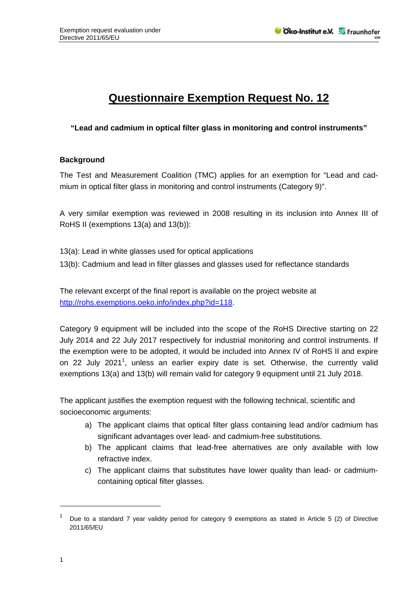## **Questionnaire Exemption Request No. 12**

**"Lead and cadmium in optical filter glass in monitoring and control instruments"** 

## **Background**

The Test and Measurement Coalition (TMC) applies for an exemption for "Lead and cadmium in optical filter glass in monitoring and control instruments (Category 9)".

A very similar exemption was reviewed in 2008 resulting in its inclusion into Annex III of RoHS II (exemptions 13(a) and 13(b)):

- 13(a): Lead in white glasses used for optical applications
- 13(b): Cadmium and lead in filter glasses and glasses used for reflectance standards

The relevant excerpt of the final report is available on the project website at http://rohs.exemptions.oeko.info/index.php?id=118.

Category 9 equipment will be included into the scope of the RoHS Directive starting on 22 July 2014 and 22 July 2017 respectively for industrial monitoring and control instruments. If the exemption were to be adopted, it would be included into Annex IV of RoHS II and expire on 22 July 2021<sup>1</sup>, unless an earlier expiry date is set. Otherwise, the currently valid exemptions 13(a) and 13(b) will remain valid for category 9 equipment until 21 July 2018.

The applicant justifies the exemption request with the following technical, scientific and socioeconomic arguments:

- a) The applicant claims that optical filter glass containing lead and/or cadmium has significant advantages over lead- and cadmium-free substitutions.
- b) The applicant claims that lead-free alternatives are only available with low refractive index.
- c) The applicant claims that substitutes have lower quality than lead- or cadmiumcontaining optical filter glasses.

1

<sup>1</sup> Due to a standard 7 year validity period for category 9 exemptions as stated in Article 5 (2) of Directive 2011/65/EU